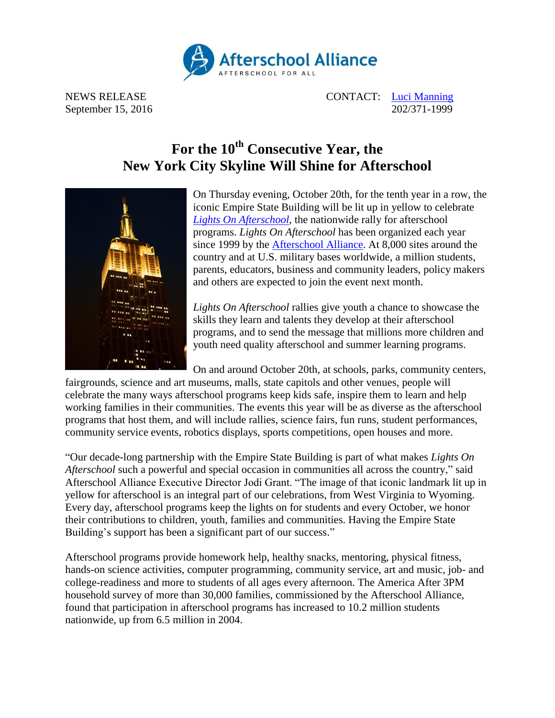

NEWS RELEASE CONTACT: [Luci Manning](mailto:luci@prsolutionsdc.com) September 15, 2016 202/371-1999

## **For the 10th Consecutive Year, the New York City Skyline Will Shine for Afterschool**



On Thursday evening, October 20th, for the tenth year in a row, the iconic Empire State Building will be lit up in yellow to celebrate *[Lights On Afterschool](http://www.afterschoolalliance.org/loa.cfm)*, the nationwide rally for afterschool programs. *Lights On Afterschool* has been organized each year since 1999 by the [Afterschool Alliance.](http://www.afterschoolalliance.org/) At 8,000 sites around the country and at U.S. military bases worldwide, a million students, parents, educators, business and community leaders, policy makers and others are expected to join the event next month.

*Lights On Afterschool* rallies give youth a chance to showcase the skills they learn and talents they develop at their afterschool programs, and to send the message that millions more children and youth need quality afterschool and summer learning programs.

On and around October 20th, at schools, parks, community centers,

fairgrounds, science and art museums, malls, state capitols and other venues, people will celebrate the many ways afterschool programs keep kids safe, inspire them to learn and help working families in their communities. The events this year will be as diverse as the afterschool programs that host them, and will include rallies, science fairs, fun runs, student performances, community service events, robotics displays, sports competitions, open houses and more.

"Our decade-long partnership with the Empire State Building is part of what makes *Lights On Afterschool* such a powerful and special occasion in communities all across the country," said Afterschool Alliance Executive Director Jodi Grant. "The image of that iconic landmark lit up in yellow for afterschool is an integral part of our celebrations, from West Virginia to Wyoming. Every day, afterschool programs keep the lights on for students and every October, we honor their contributions to children, youth, families and communities. Having the Empire State Building's support has been a significant part of our success."

Afterschool programs provide homework help, healthy snacks, mentoring, physical fitness, hands-on science activities, computer programming, community service, art and music, job- and college-readiness and more to students of all ages every afternoon. The America After 3PM household survey of more than 30,000 families, commissioned by the Afterschool Alliance, found that participation in afterschool programs has increased to 10.2 million students nationwide, up from 6.5 million in 2004.